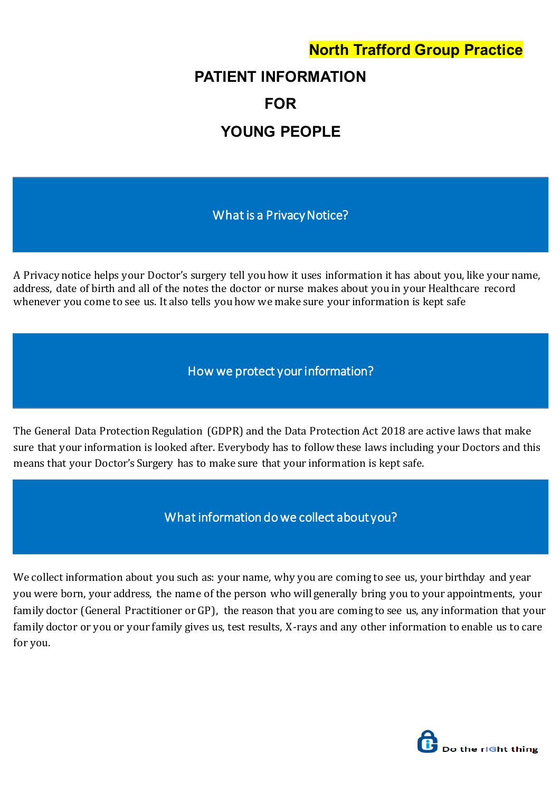# **North Trafford Group Practice**

# **PATIENT INFORMATION FOR YOUNG PEOPLE**

What is a Privacy Notice?

A Privacy notice helps your Doctor's surgery tell you how it uses information it has about you, like your name, address, date of birth and all of the notes the doctor or nurse makes about you in your Healthcare record whenever you come to see us. It also tells you how we make sure your information is kept safe

How we protect your information?

The General Data Protection Regulation (GDPR) and the Data Protection Act 2018 are active laws that make sure that your information is looked after. Everybody has to follow these laws including your Doctors and this means that your Doctor's Surgery has to make sure that your information is kept safe.

What information do we collect about you?

We collect information about you such as: your name, why you are coming to see us, your birthday and year you were born, your address, the name of the person who will generally bring you to your appointments, your family doctor (General Practitioner or GP), the reason that you are coming to see us, any information that your family doctor or you or your family gives us, test results, X-rays and any other information to enable us to care for you.

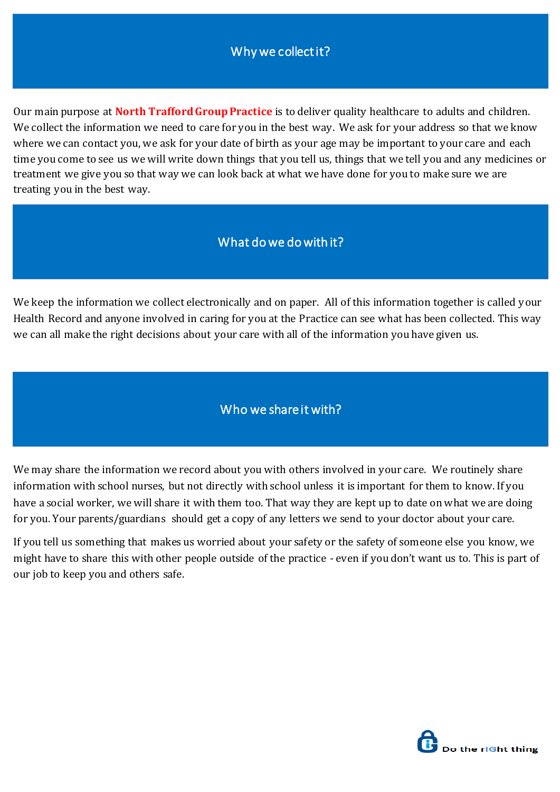### Why we collect it?

Our main purpose at **North Trafford Group Practice** is to deliver quality healthcare to adults and children. We collect the information we need to care for you in the best way. We ask for your address so that we know where we can contact you, we ask for your date of birth as your age may be important to your care and each time you come to see us we will write down things that you tell us, things that we tell you and any medicines or treatment we give you so that way we can look back at what we have done for you to make sure we are treating you in the best way.

#### What do we do with it?

We keep the information we collect electronically and on paper. All of this information together is called your Health Record and anyone involved in caring for you at the Practice can see what has been collected. This way we can all make the right decisions about your care with all of the information you have given us.

#### Who we share it with?

We may share the information we record about you with others involved in your care. We routinely share information with school nurses, but not directly with school unless it is important for them to know. If you have a social worker, we will share it with them too. That way they are kept up to date on what we are doing for you. Your parents/guardians should get a copy of any letters we send to your doctor about your care.

If you tell us something that makes us worried about your safety or the safety of someone else you know, we might have to share this with other people outside of the practice - even if you don't want us to. This is part of our job to keep you and others safe.

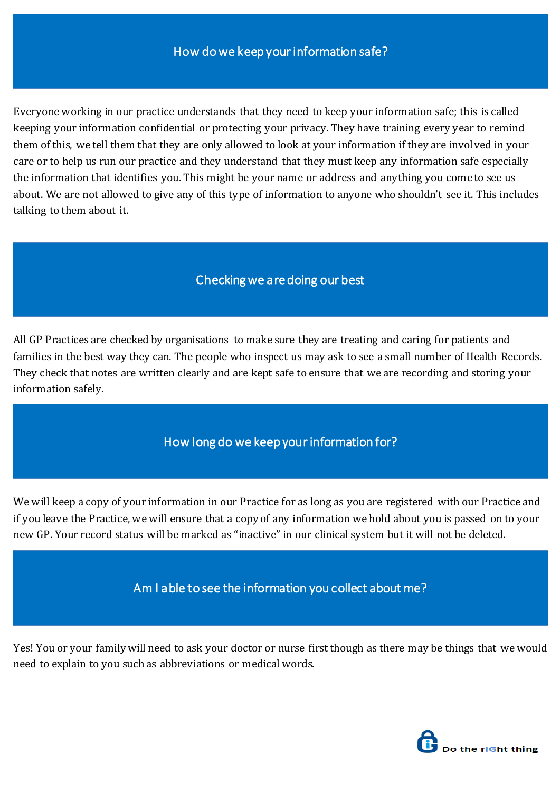Everyone working in our practice understands that they need to keep your information safe; this is called keeping your information confidential or protecting your privacy. They have training every year to remind them of this, we tell them that they are only allowed to look at your information if they are involved in your care or to help us run our practice and they understand that they must keep any information safe especially the information that identifies you. This might be your name or address and anything you come to see us about. We are not allowed to give any of this type of information to anyone who shouldn't see it. This includes talking to them about it.

#### Checking we are doing our best

All GP Practices are checked by organisations to make sure they are treating and caring for patients and families in the best way they can. The people who inspect us may ask to see a small number of Health Records. They check that notes are written clearly and are kept safe to ensure that we are recording and storing your information safely.

## How long do we keep your information for?

We will keep a copy of your information in our Practice for as long as you are registered with our Practice and if you leave the Practice, we will ensure that a copy of any information we hold about you is passed on to your new GP. Your record status will be marked as "inactive" in our clinical system but it will not be deleted.

Am I able to see the information you collect about me?

Yes! You or your family will need to ask your doctor or nurse first though as there may be things that we would need to explain to you such as abbreviations or medical words.